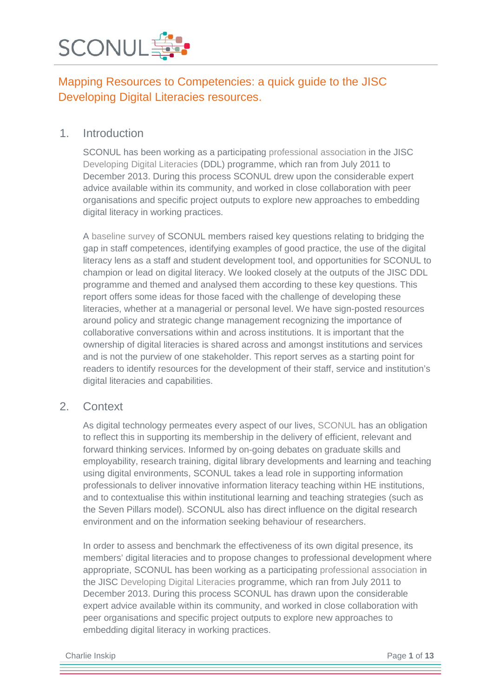

### 1. Introduction

SCONUL has been working as a participating [professional association](http://jiscdesignstudio.pbworks.com/w/page/48785977/DL%20ASSOCIATIONS%20INDEX) in the JISC [Developing Digital Literacies](http://www.jisc.ac.uk/whatwedo/programmes/elearning/developingdigitalliteracies.aspx) (DDL) programme, which ran from July 2011 to December 2013. During this process SCONUL drew upon the considerable expert advice available within its community, and worked in close collaboration with peer organisations and specific project outputs to explore new approaches to embedding digital literacy in working practices.

A [baseline survey](http://jiscdesignstudio.pbworks.com/w/page/50824902/SCONUL%20Baseline%20summary) of SCONUL members raised key questions relating to bridging the gap in staff competences, identifying examples of good practice, the use of the digital literacy lens as a staff and student development tool, and opportunities for SCONUL to champion or lead on digital literacy. We looked closely at the outputs of the JISC DDL programme and themed and analysed them according to these key questions. This report offers some ideas for those faced with the challenge of developing these literacies, whether at a managerial or personal level. We have sign-posted resources around policy and strategic change management recognizing the importance of collaborative conversations within and across institutions. It is important that the ownership of digital literacies is shared across and amongst institutions and services and is not the purview of one stakeholder. This report serves as a starting point for readers to identify resources for the development of their staff, service and institution's digital literacies and capabilities.

### 2. Context

As digital technology permeates every aspect of our lives, [SCONUL](http://www.sconul.ac.uk/) has an obligation to reflect this in supporting its membership in the delivery of efficient, relevant and forward thinking services. Informed by on-going debates on graduate skills and employability, research training, digital library developments and learning and teaching using digital environments, SCONUL takes a lead role in supporting information professionals to deliver innovative information literacy teaching within HE institutions, and to contextualise this within institutional learning and teaching strategies (such as the Seven Pillars model). SCONUL also has direct influence on the digital research environment and on the information seeking behaviour of researchers.

In order to assess and benchmark the effectiveness of its own digital presence, its members' digital literacies and to propose changes to professional development where appropriate, SCONUL has been working as a participating [professional association](http://jiscdesignstudio.pbworks.com/w/page/48785977/DL%20ASSOCIATIONS%20INDEX) in the JISC [Developing Digital Literacies](http://www.jisc.ac.uk/whatwedo/programmes/elearning/developingdigitalliteracies.aspx) programme, which ran from July 2011 to December 2013. During this process SCONUL has drawn upon the considerable expert advice available within its community, and worked in close collaboration with peer organisations and specific project outputs to explore new approaches to embedding digital literacy in working practices.

**Charlie Inskip** Page 1 of 13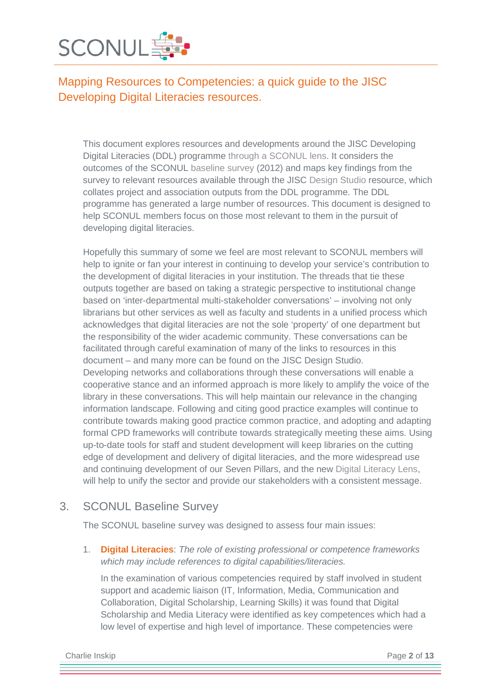

This document explores resources and developments around the JISC Developing Digital Literacies (DDL) programme [through a SCONUL lens.](http://jiscdesignstudio.pbworks.com/w/page/48784891/SCONUL%20DL) It considers the outcomes of the SCONUL [baseline survey](http://jiscdesignstudio.pbworks.com/w/page/50824902/SCONUL%20Baseline%20summary) (2012) and maps key findings from the survey to relevant resources available through the JISC [Design Studio](http://jiscdesignstudio.pbworks.com/w/page/46421608/Developing%20digital%20literacies) resource, which collates project and association outputs from the DDL programme. The DDL programme has generated a large number of resources. This document is designed to help SCONUL members focus on those most relevant to them in the pursuit of developing digital literacies.

Hopefully this summary of some we feel are most relevant to SCONUL members will help to ignite or fan your interest in continuing to develop your service's contribution to the development of digital literacies in your institution. The threads that tie these outputs together are based on taking a strategic perspective to institutional change based on 'inter-departmental multi-stakeholder conversations' – involving not only librarians but other services as well as faculty and students in a unified process which acknowledges that digital literacies are not the sole 'property' of one department but the responsibility of the wider academic community. These conversations can be facilitated through careful examination of many of the links to resources in this document – and many more can be found on the JISC Design Studio. Developing networks and collaborations through these conversations will enable a cooperative stance and an informed approach is more likely to amplify the voice of the library in these conversations. This will help maintain our relevance in the changing information landscape. Following and citing good practice examples will continue to contribute towards making good practice common practice, and adopting and adapting formal CPD frameworks will contribute towards strategically meeting these aims. Using up-to-date tools for staff and student development will keep libraries on the cutting edge of development and delivery of digital literacies, and the more widespread use and continuing development of our Seven Pillars, and the new [Digital Literacy Lens,](http://www.sconul.ac.uk/publication/digital-literacy-lens) will help to unify the sector and provide our stakeholders with a consistent message.

### 3. SCONUL Baseline Survey

The [SCONUL baseline survey](http://jiscdesignstudio.pbworks.com/w/page/50824902/SCONUL%20Baseline%20summary) was designed to assess four main issues:

1. **Digital Literacies**: *The role of existing professional or competence frameworks which may include references to digital capabilities/literacies.*

In the examination of various competencies required by staff involved in student support and academic liaison (IT, Information, Media, Communication and Collaboration, Digital Scholarship, Learning Skills) it was found that Digital Scholarship and Media Literacy were identified as key competences which had a low level of expertise and high level of importance. These competencies were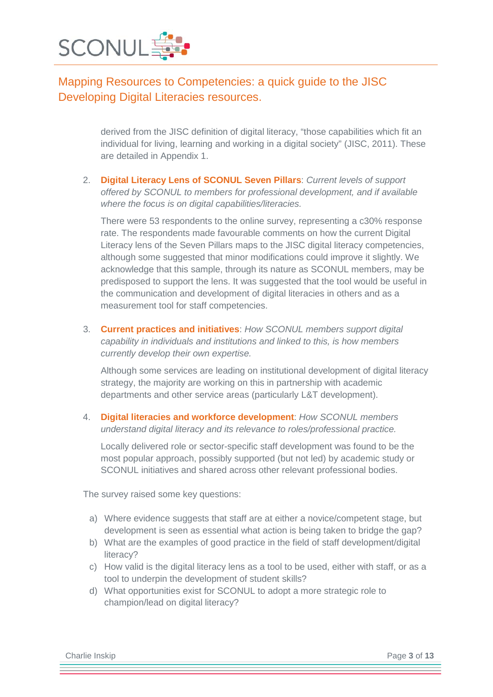

derived from the JISC definition of digital literacy, "those capabilities which fit an individual for living, learning and working in a digital society" (JISC, 2011). These are detailed in Appendix 1.

2. **Digital Literacy Lens of SCONUL Seven Pillars**: *Current levels of support offered by SCONUL to members for professional development, and if available where the focus is on digital capabilities/literacies.*

There were 53 respondents to the online survey, representing a c30% response rate. The respondents made favourable comments on how the current Digital Literacy lens of the Seven Pillars maps to the JISC digital literacy competencies, although some suggested that minor modifications could improve it slightly. We acknowledge that this sample, through its nature as SCONUL members, may be predisposed to support the lens. It was suggested that the tool would be useful in the communication and development of digital literacies in others and as a measurement tool for staff competencies.

3. **Current practices and initiatives**: *How SCONUL members support digital capability in individuals and institutions and linked to this, is how members currently develop their own expertise.*

Although some services are leading on institutional development of digital literacy strategy, the majority are working on this in partnership with academic departments and other service areas (particularly L&T development).

4. **Digital literacies and workforce development**: *How SCONUL members understand digital literacy and its relevance to roles/professional practice.*

Locally delivered role or sector-specific staff development was found to be the most popular approach, possibly supported (but not led) by academic study or SCONUL initiatives and shared across other relevant professional bodies.

The survey raised some key questions:

- a) Where evidence suggests that staff are at either a novice/competent stage, but development is seen as essential what action is being taken to bridge the gap?
- b) What are the examples of good practice in the field of staff development/digital literacy?
- c) How valid is the digital literacy lens as a tool to be used, either with staff, or as a tool to underpin the development of student skills?
- d) What opportunities exist for SCONUL to adopt a more strategic role to champion/lead on digital literacy?

Charlie Inskip Page **3** of **13**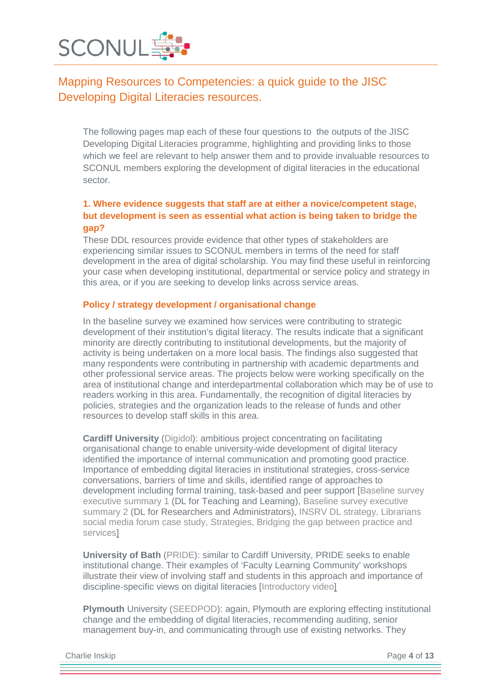

The following pages map each of these four questions to the outputs of the JISC Developing Digital Literacies programme, highlighting and providing links to those which we feel are relevant to help answer them and to provide invaluable resources to SCONUL members exploring the development of digital literacies in the educational sector.

### **1. Where evidence suggests that staff are at either a novice/competent stage, but development is seen as essential what action is being taken to bridge the gap?**

These DDL resources provide evidence that other types of stakeholders are experiencing similar issues to SCONUL members in terms of the need for staff development in the area of digital scholarship. You may find these useful in reinforcing your case when developing institutional, departmental or service policy and strategy in this area, or if you are seeking to develop links across service areas.

#### **Policy / strategy development / organisational change**

In the baseline survey we examined how services were contributing to strategic development of their institution's digital literacy. The results indicate that a significant minority are directly contributing to institutional developments, but the majority of activity is being undertaken on a more local basis. The findings also suggested that many respondents were contributing in partnership with academic departments and other professional service areas. The projects below were working specifically on the area of institutional change and interdepartmental collaboration which may be of use to readers working in this area. Fundamentally, the recognition of digital literacies by policies, strategies and the organization leads to the release of funds and other resources to develop staff skills in this area.

**Cardiff University** [\(Digidol\)](http://jiscdesignstudio.pbworks.com/w/page/50732611/Digidol%20project): ambitious project concentrating on facilitating organisational change to enable university-wide development of digital literacy identified the importance of internal communication and promoting good practice. Importance of embedding digital literacies in institutional strategies, cross-service conversations, barriers of time and skills, identified range of approaches to development including formal training, task-based and peer support [\[Baseline survey](http://jiscdesignstudio.pbworks.com/w/file/52909480/Baseline%201%20Exec%20Summary.docx)  [executive summary 1](http://jiscdesignstudio.pbworks.com/w/file/52909480/Baseline%201%20Exec%20Summary.docx) (DL for Teaching and Learning), [Baseline survey executive](http://jiscdesignstudio.pbworks.com/w/file/52909503/Baseline%202%20Exec%20Summary.docx)  [summary 2](http://jiscdesignstudio.pbworks.com/w/file/52909503/Baseline%202%20Exec%20Summary.docx) (DL for Researchers and Administrators), [INSRV DL strategy,](http://www.cf.ac.uk/insrv/resources/regulationsandstrategy/Strategy%20for%20Digital%20and%20Information%20Literacies%202012-2014.docx) [Librarians](http://digidol.cardiff.ac.uk/?attachment_id=602)  [social media forum case study,](http://digidol.cardiff.ac.uk/?attachment_id=602) [Strategies,](http://digidol.cardiff.ac.uk/strategic-development/) [Bridging the gap between practice and](http://jiscdesignstudio.pbworks.com/w/file/fetch/59499070/digidol_poster_jisc_oct_2012.jpg)  [services\]](http://jiscdesignstudio.pbworks.com/w/file/fetch/59499070/digidol_poster_jisc_oct_2012.jpg)

**University of Bath** [\(PRIDE\)](http://jiscdesignstudio.pbworks.com/w/page/50732777/PRIDE%20project): similar to Cardiff University, PRIDE seeks to enable institutional change. Their examples of 'Faculty Learning Community' workshops illustrate their view of involving staff and students in this approach and importance of discipline-specific views on digital literacies [\[Introductory video\]](http://wordpress.redirectingat.com/?id=725X584219&site=digilitpride.wordpress.com&xs=1&url=http%3A%2F%2Fvimeo.com%2F42178362&xguid=059291aa6a09e67f88656e07b743773c&xcreo=0&sref=http%3A%2F%2Fdigilitpride.wordpress.com%2Fabout%2F&pref=http%3A%2F%2Fdigilitpri)

**Plymouth** University [\(SEEDPOD\)](http://jiscdesignstudio.pbworks.com/w/page/50732781/SEEDPoD%20project): again, Plymouth are exploring effecting institutional change and the embedding of digital literacies, recommending auditing, senior management buy-in, and communicating through use of existing networks. They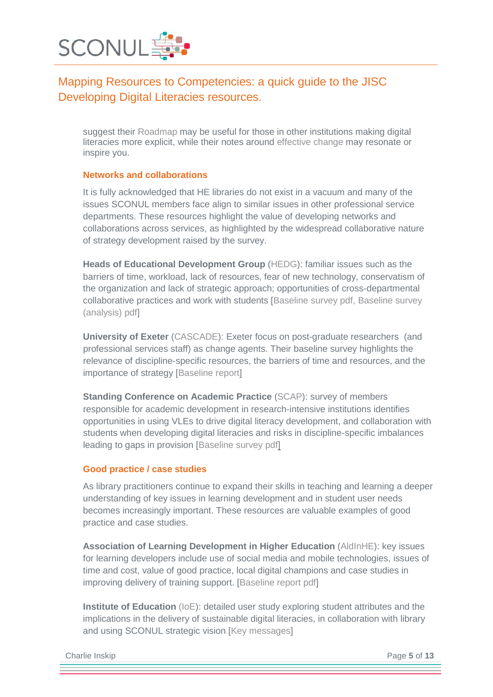

suggest their [Roadmap](http://jiscdesignstudio.pbworks.com/w/page/66082770/Digital%20Literacies%20Implementation%20Plan) may be useful for those in other institutions making digital literacies more explicit, while their notes around [effective change](http://technologyenhancedlearning.net/seedpod/2013/09/11/the-germination-of-seedpod/) may resonate or inspire you.

#### **Networks and collaborations**

It is fully acknowledged that HE libraries do not exist in a vacuum and many of the issues SCONUL members face align to similar issues in other professional service departments. These resources highlight the value of developing networks and collaborations across services, as highlighted by the widespread collaborative nature of strategy development raised by the survey.

**Heads of Educational Development Group** [\(HEDG\)](http://jiscdesignstudio.pbworks.com/w/page/48783639/HEDG%20DL): familiar issues such as the barriers of time, workload, lack of resources, fear of new technology, conservatism of the organization and lack of strategic approach; opportunities of cross-departmental collaborative practices and work with students [\[Baseline survey pdf,](http://jiscdesignstudio.pbworks.com/w/file/50457134/HEDG%20baseline.pdf) [Baseline survey](http://jiscdesignstudio.pbworks.com/w/file/61396202/SADDLE%20Analysis%20of%20the%20qualitative%20data%20from%20the%20survey.pdf)  [\(analysis\) pdf\]](http://jiscdesignstudio.pbworks.com/w/file/61396202/SADDLE%20Analysis%20of%20the%20qualitative%20data%20from%20the%20survey.pdf)

**University of Exeter** [\(CASCADE\)](http://jiscdesignstudio.pbworks.com/w/page/50732446/ExeterCascade%20project): Exeter focus on post-graduate researchers (and professional services staff) as change agents. Their baseline survey highlights the relevance of discipline-specific resources, the barriers of time and resources, and the importance of strategy [\[Baseline report\]](http://jiscdesignstudio.pbworks.com/w/page/53649882/Exeter%20Cascade%20baseline%20findings%20and%20recommendations)

**Standing Conference on Academic Practice** [\(SCAP\)](http://jiscdesignstudio.pbworks.com/w/page/48784350/SCAP%20DL): survey of members responsible for academic development in research-intensive institutions identifies opportunities in using VLEs to drive digital literacy development, and collaboration with students when developing digital literacies and risks in discipline-specific imbalances leading to gaps in provision [\[Baseline survey pdf\]](http://jiscdesignstudio.pbworks.com/w/file/fetch/55088947/SCAP%20Digital%20Literacy%20baseline%20analysis.pdf)

#### **Good practice / case studies**

As library practitioners continue to expand their skills in teaching and learning a deeper understanding of key issues in learning development and in student user needs becomes increasingly important. These resources are valuable examples of good practice and case studies.

**Association of Learning Development in Higher Education** [\(AldInHE\)](http://jiscdesignstudio.pbworks.com/w/page/48783279/ALDinHE%20DL): key issues for learning developers include use of social media and mobile technologies, issues of time and cost, value of good practice, local digital champions and case studies in improving delivery of training support. [\[Baseline report pdf\]](http://jiscdesignstudio.pbworks.com/w/file/fetch/50489516/ALDinHE_DDL_baseline_report_jan_2012.pdf)

**Institute of Education** [\(IoE\)](http://jiscdesignstudio.pbworks.com/w/page/50732695/Digital%20Literacies%20as%20a%20Postgraduate%20Attribute%20project): detailed user study exploring student attributes and the implications in the delivery of sustainable digital literacies, in collaboration with library and using SCONUL strategic vision [\[Key messages\]](http://libguides.ioe.ac.uk/content.php?pid=505768&sid=4161244)

Charlie Inskip Page **5** of **13**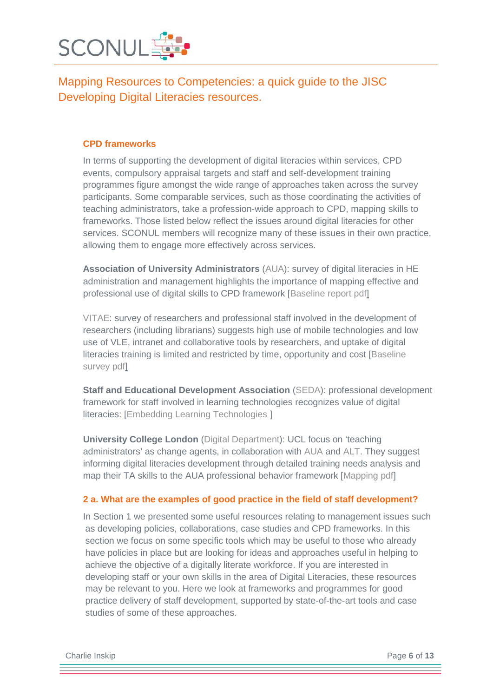

#### **CPD frameworks**

In terms of supporting the development of digital literacies within services, CPD events, compulsory appraisal targets and staff and self-development training programmes figure amongst the wide range of approaches taken across the survey participants. Some comparable services, such as those coordinating the activities of teaching administrators, take a profession-wide approach to CPD, mapping skills to frameworks. Those listed below reflect the issues around digital literacies for other services. SCONUL members will recognize many of these issues in their own practice, allowing them to engage more effectively across services.

**Association of University Administrators** [\(AUA\)](http://jiscdesignstudio.pbworks.com/w/page/48656386/AUA%20DL): survey of digital literacies in HE administration and management highlights the importance of mapping effective and professional use of digital skills to CPD framework [\[Baseline report pdf\]](http://jiscdesignstudio.pbworks.com/w/file/fetch/50442087/AUA%20baseline%20report.pdf)

[VITAE:](http://jiscdesignstudio.pbworks.com/w/page/48785366/Vitae%20DL) survey of researchers and professional staff involved in the development of researchers (including librarians) suggests high use of mobile technologies and low use of VLE, intranet and collaborative tools by researchers, and uptake of digital literacies training is limited and restricted by time, opportunity and cost [\[Baseline](http://jiscdesignstudio.pbworks.com/w/file/fetch/50435086/Vitae%20JISC%20DDL%20programme%20-%20Vitae%20baseline%20study%20report.pdf)  [survey pdf\]](http://jiscdesignstudio.pbworks.com/w/file/fetch/50435086/Vitae%20JISC%20DDL%20programme%20-%20Vitae%20baseline%20study%20report.pdf)

**Staff and Educational Development Association** [\(SEDA\)](http://jiscdesignstudio.pbworks.com/w/page/48784376/SEDA%20DL): professional development framework for staff involved in learning technologies recognizes value of digital literacies: [\[Embedding Learning Technologies](http://www.seda.ac.uk/pdf.html?p=3_1_10_1_4) ]

**University College London** [\(Digital Department\)](http://jiscdesignstudio.pbworks.com/w/page/50732785/The%20Digital%20Department%20project): UCL focus on 'teaching administrators' as change agents, in collaboration with [AUA](http://jiscdesignstudio.pbworks.com/AUA-DL) and [ALT.](http://jiscdesignstudio.pbworks.com/w/page/48782992/ALT%20DL) They suggest informing digital literacies development through detailed training needs analysis and map their TA skills to the AUA professional behavior framework [\[Mapping pdf\]](http://jiscdesignstudio.pbworks.com/w/file/67896494/UCL%20Teaching%20Administrator%20role%20mapping%20201306.pdf)

#### **2 a. What are the examples of good practice in the field of staff development?**

In Section 1 we presented some useful resources relating to management issues such as developing policies, collaborations, case studies and CPD frameworks. In this section we focus on some specific tools which may be useful to those who already have policies in place but are looking for ideas and approaches useful in helping to achieve the objective of a digitally literate workforce. If you are interested in developing staff or your own skills in the area of Digital Literacies, these resources may be relevant to you. Here we look at frameworks and programmes for good practice delivery of staff development, supported by state-of-the-art tools and case studies of some of these approaches.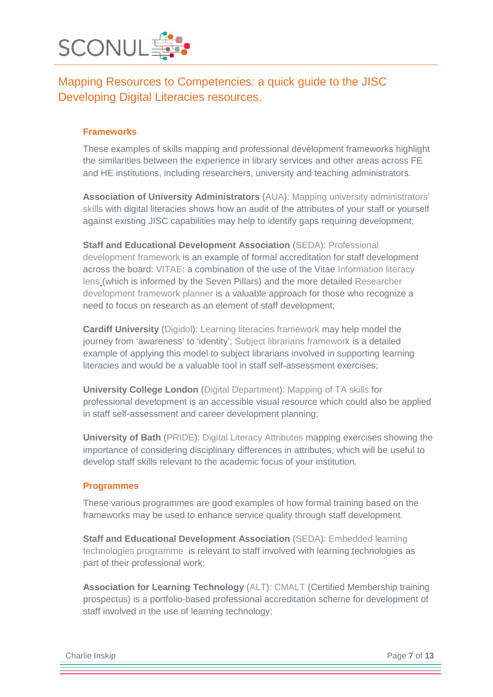

#### **Frameworks**

These examples of skills mapping and professional development frameworks highlight the similarities between the experience in library services and other areas across FE and HE institutions, including researchers, university and teaching administrators.

**Association of University Administrators** [\(AUA\)](http://jiscdesignstudio.pbworks.com/w/page/48656386/AUA%20DL): [Mapping university administrators'](http://jiscdesignstudio.pbworks.com/w/page/66684147/JISC-AUA%20%20mapping%20outputs)  [skills](http://jiscdesignstudio.pbworks.com/w/page/66684147/JISC-AUA%20%20mapping%20outputs) with digital literacies shows how an audit of the attributes of your staff or yourself against existing JISC capabilities may help to identify gaps requiring development;

**Staff and Educational Development Association** [\(SEDA\)](http://jiscdesignstudio.pbworks.com/w/page/48784376/SEDA%20DL): [Professional](http://www.seda.ac.uk/pdf.html)  [development framework](http://www.seda.ac.uk/pdf.html) is an example of formal accreditation for staff development across the board: [VITAE:](http://jiscdesignstudio.pbworks.com/w/page/48785366/Vitae%20DL) a combination of the use of the Vitae [Information literacy](http://www.vitae.ac.uk/CMS/files/upload/Vitae_Information_Literacy_Lens_on_the_RDF_Apr_2012.pdf)  [lens](http://www.vitae.ac.uk/CMS/files/upload/Vitae_Information_Literacy_Lens_on_the_RDF_Apr_2012.pdf) (which is informed by the Seven Pillars) and the more detailed [Researcher](http://www.vitae.ac.uk/researchers/291411/Manage-your-career-with-the-Vitae-RDF-Planner.html)  [development framework planner](http://www.vitae.ac.uk/researchers/291411/Manage-your-career-with-the-Vitae-RDF-Planner.html) is a valuable approach for those who recognize a need to focus on research as an element of staff development;

**Cardiff University** [\(Digidol\)](http://jiscdesignstudio.pbworks.com/w/page/50732611/Digidol%20project): [Learning literacies framework](http://jiscdesignstudio.pbworks.com/f/1373285946/institutional-story-image-1.png) may help model the journey from 'awareness' to 'identity'; [Subject librarians framework](http://digidol.cardiff.ac.uk/files/2013/05/Subject-Librarians-LLF-draft-050613.pdf) is a detailed example of applying this model to subject librarians involved in supporting learning literacies and would be a valuable tool in staff self-assessment exercises;

**University College London** [\(Digital Department\)](http://jiscdesignstudio.pbworks.com/w/page/50732785/The%20Digital%20Department%20project): [Mapping of TA skills](http://jiscdesignstudio.pbworks.com/w/file/fetch/67896494/UCL%20Teaching%20Administrator%20role%20mapping%20201306.pdf) for professional development is an accessible visual resource which could also be applied in staff self-assessment and career development planning;

**University of Bath** [\(PRIDE\)](http://jiscdesignstudio.pbworks.com/w/page/50732777/PRIDE%20project): [Digital Literacy Attributes](http://digilitpride.wordpress.com/digital-literacy-statements/) mapping exercises showing the importance of considering disciplinary differences in attributes, which will be useful to develop staff skills relevant to the academic focus of your institution.

#### **Programmes**

These various programmes are good examples of how formal training based on the frameworks may be used to enhance service quality through staff development.

**Staff and Educational Development Association** [\(SEDA\)](http://jiscdesignstudio.pbworks.com/w/page/48784376/SEDA%20DL): [Embedded learning](http://www.seda.ac.uk/pdf.html?p=3_1_10_1_4)  [technologies programme](http://www.seda.ac.uk/pdf.html?p=3_1_10_1_4) is relevant to staff involved with learning technologies as part of their professional work;

**Association for Learning Technology** [\(ALT\)](http://jiscdesignstudio.pbworks.com/w/page/48782992/ALT%20DL): [CMALT](http://jiscdesignstudio.pbworks.com/w/file/fetch/48878595/ALT_CMALT%20prospectusA4_v5_web.pdf) (Certified Membership training prospectus) is a portfolio-based professional accreditation scheme for development of staff involved in the use of learning technology;

Charlie Inskip Page **7** of **13**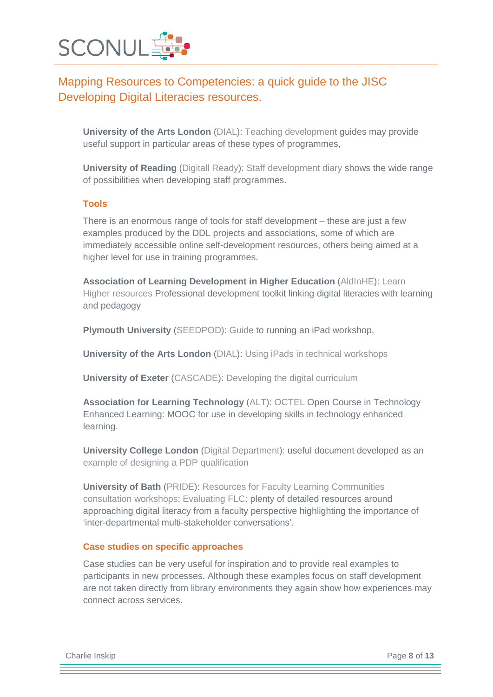

**University of the Arts London** [\(DIAL\)](http://jiscdesignstudio.pbworks.com/w/page/50732585/DIAL%20project): [Teaching development](http://process.arts.ac.uk/category/project-groups/cltad-teaching-development-projects) guides may provide useful support in particular areas of these types of programmes,

**University of Reading** [\(Digitall Ready\)](http://jiscdesignstudio.pbworks.com/w/page/50732729/Digitally%20Ready%20project): [Staff development diary](http://www.reading.ac.uk/web/FILES/CSTD/Staff_Development__Brochure_2012-13.pdf) shows the wide range of possibilities when developing staff programmes.

#### **Tools**

There is an enormous range of tools for staff development – these are just a few examples produced by the DDL projects and associations, some of which are immediately accessible online self-development resources, others being aimed at a higher level for use in training programmes.

**Association of Learning Development in Higher Education** [\(AldInHE\)](http://jiscdesignstudio.pbworks.com/w/page/48783279/ALDinHE%20DL): [Learn](http://www.learnhigher.ac.uk/research-skills/#nav-teachinglearning)  [Higher resources](http://www.learnhigher.ac.uk/research-skills/#nav-teachinglearning) Professional development toolkit linking digital literacies with learning and pedagogy

**Plymouth University** [\(SEEDPOD\)](http://jiscdesignstudio.pbworks.com/w/page/50732781/SEEDPoD%20project): [Guide](http://jiscdesignstudio.pbworks.com/w/page/67634010/iPADS%20WORKSHOP) to running an iPad workshop,

**University of the Arts London** [\(DIAL\)](http://jiscdesignstudio.pbworks.com/w/page/50732585/DIAL%20project): [Using iPads in technical workshops](http://process.arts.ac.uk/content/using-ipads-technical-workshops)

**University of Exeter** [\(CASCADE\)](http://jiscdesignstudio.pbworks.com/w/page/50732446/ExeterCascade%20project): [Developing the digital curriculum](http://projects.exeter.ac.uk/cascade/digitalcurriculum/#.UjHQs9KsiSo)

**Association for Learning Technology** [\(ALT\)](http://jiscdesignstudio.pbworks.com/w/page/48782992/ALT%20DL): [OCTEL](http://octel.alt.ac.uk/course-materials/) Open Course in Technology Enhanced Learning: MOOC for use in developing skills in technology enhanced learning.

**University College London** [\(Digital Department\)](http://jiscdesignstudio.pbworks.com/w/page/50732785/The%20Digital%20Department%20project): useful document developed as an [example of designing a PDP qualification](http://jiscdesignstudio.pbworks.com/w/file/fetch/67896507/TDD%20accreditation%20plan.pdf)

**University of Bath** [\(PRIDE\)](http://jiscdesignstudio.pbworks.com/w/page/50732777/PRIDE%20project): [Resources for Faculty Learning Communities](http://digilitpride.wordpress.com/faculty-learning-communities/flc-resources/)  [consultation workshops;](http://digilitpride.wordpress.com/faculty-learning-communities/flc-resources/) [Evaluating FLC:](http://digilitpride.wordpress.com/2012/02/01/evaluating-our-faculty-learning-communities/) plenty of detailed resources around approaching digital literacy from a faculty perspective highlighting the importance of 'inter-departmental multi-stakeholder conversations'.

#### **Case studies on specific approaches**

Case studies can be very useful for inspiration and to provide real examples to participants in new processes. Although these examples focus on staff development are not taken directly from library environments they again show how experiences may connect across services.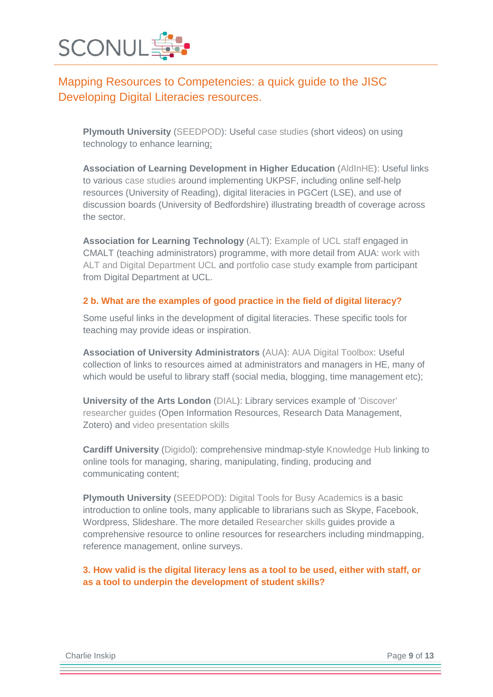

**Plymouth University** [\(SEEDPOD\)](http://jiscdesignstudio.pbworks.com/w/page/50732781/SEEDPoD%20project): Useful [case studies](http://jiscdesignstudio.pbworks.com/w/page/62000369/Case%20Studies) (short videos) on using technology to enhance learning;

**Association of Learning Development in Higher Education** [\(AldInHE\)](http://jiscdesignstudio.pbworks.com/w/page/48783279/ALDinHE%20DL): Useful links to various [case studies](http://jiscdesignstudio.pbworks.com/w/page/54134956/Case%20studies%20for%20Guide%20to%20Implementing%20the%20UKPSF%20in%20the%20Digital%20University) around implementing UKPSF, including online self-help resources (University of Reading), digital literacies in PGCert (LSE), and use of discussion boards (University of Bedfordshire) illustrating breadth of coverage across the sector.

**Association for Learning Technology** [\(ALT\)](http://jiscdesignstudio.pbworks.com/w/page/48782992/ALT%20DL): [Example of UCL staff](http://www.ucl.ac.uk/teaching-learning/news/cmalt) engaged in CMALT (teaching administrators) programme, with more detail from AUA: [work with](http://blogs.ucl.ac.uk/the-digital-department/2012/04/24/workshop-at-aua-conference/)  [ALT and Digital Department UCL](http://blogs.ucl.ac.uk/the-digital-department/2012/04/24/workshop-at-aua-conference/) and [portfolio case study](https://sites.google.com/site/catscmaltportfolio/) example from participant from Digital Department at UCL.

#### **2 b. What are the examples of good practice in the field of digital literacy?**

Some useful links in the development of digital literacies. These specific tools for teaching may provide ideas or inspiration.

**Association of University Administrators** [\(AUA\)](http://jiscdesignstudio.pbworks.com/w/page/48656386/AUA%20DL): [AUA Digital Toolbox:](http://services.aua.ac.uk/digitaltools/gallery) Useful collection of links to resources aimed at administrators and managers in HE, many of which would be useful to library staff (social media, blogging, time management etc);

**University of the Arts London** [\(DIAL\)](http://jiscdesignstudio.pbworks.com/w/page/50732585/DIAL%20project): Library services example of ['Discover'](http://arts.ac.libguides.com/discover/a_to_z)  [researcher guides](http://arts.ac.libguides.com/discover/a_to_z) (Open Information Resources, Research Data Management, Zotero) and [video presentation skills](http://process.arts.ac.uk/category/project-groups/presentation-skills)

**Cardiff University** [\(Digidol\)](http://jiscdesignstudio.pbworks.com/w/page/50732611/Digidol%20project): comprehensive mindmap-style [Knowledge Hub](http://cmapspublic3.ihmc.us/rid=1KY550GR7-1YNJ9RF-CYP5/overview.html) linking to online tools for managing, sharing, manipulating, finding, producing and communicating content;

**Plymouth University** [\(SEEDPOD\)](http://jiscdesignstudio.pbworks.com/w/page/50732781/SEEDPoD%20project): [Digital Tools for Busy Academics](http://jiscdesignstudio.pbworks.com/w/page/66082374/Digital%20Tools) is a basic introduction to online tools, many applicable to librarians such as Skype, Facebook, Wordpress, Slideshare. The more detailed [Researcher skills](http://jiscdesignstudio.pbworks.com/w/page/66082815/Postgraduate%20Researcher%20Skills) guides provide a comprehensive resource to online resources for researchers including mindmapping, reference management, online surveys.

**3. How valid is the digital literacy lens as a tool to be used, either with staff, or as a tool to underpin the development of student skills?**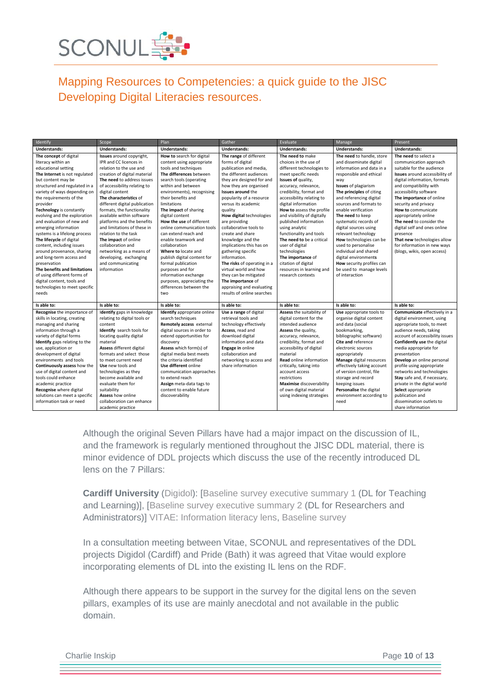

| Identify                                                                                                                                                                                                                                                                                                                                                                                                                                                                                                                                                                                                                                                       | Scope                                                                                                                                                                                                                                                                                                                                                                                                                                                                                                                                            | Plan                                                                                                                                                                                                                                                                                                                                                                                                                                                                                                                                                                                         | Gather                                                                                                                                                                                                                                                                                                                                                                                                                                                                                                                                                                                              | Evaluate                                                                                                                                                                                                                                                                                                                                                                                                                                                                                                                   | Manage                                                                                                                                                                                                                                                                                                                                                                                                                                                                                                                                | Present                                                                                                                                                                                                                                                                                                                                                                                                                                                                         |
|----------------------------------------------------------------------------------------------------------------------------------------------------------------------------------------------------------------------------------------------------------------------------------------------------------------------------------------------------------------------------------------------------------------------------------------------------------------------------------------------------------------------------------------------------------------------------------------------------------------------------------------------------------------|--------------------------------------------------------------------------------------------------------------------------------------------------------------------------------------------------------------------------------------------------------------------------------------------------------------------------------------------------------------------------------------------------------------------------------------------------------------------------------------------------------------------------------------------------|----------------------------------------------------------------------------------------------------------------------------------------------------------------------------------------------------------------------------------------------------------------------------------------------------------------------------------------------------------------------------------------------------------------------------------------------------------------------------------------------------------------------------------------------------------------------------------------------|-----------------------------------------------------------------------------------------------------------------------------------------------------------------------------------------------------------------------------------------------------------------------------------------------------------------------------------------------------------------------------------------------------------------------------------------------------------------------------------------------------------------------------------------------------------------------------------------------------|----------------------------------------------------------------------------------------------------------------------------------------------------------------------------------------------------------------------------------------------------------------------------------------------------------------------------------------------------------------------------------------------------------------------------------------------------------------------------------------------------------------------------|---------------------------------------------------------------------------------------------------------------------------------------------------------------------------------------------------------------------------------------------------------------------------------------------------------------------------------------------------------------------------------------------------------------------------------------------------------------------------------------------------------------------------------------|---------------------------------------------------------------------------------------------------------------------------------------------------------------------------------------------------------------------------------------------------------------------------------------------------------------------------------------------------------------------------------------------------------------------------------------------------------------------------------|
| <b>Understands:</b>                                                                                                                                                                                                                                                                                                                                                                                                                                                                                                                                                                                                                                            | Understands:                                                                                                                                                                                                                                                                                                                                                                                                                                                                                                                                     | Understands:                                                                                                                                                                                                                                                                                                                                                                                                                                                                                                                                                                                 | <b>Understands:</b>                                                                                                                                                                                                                                                                                                                                                                                                                                                                                                                                                                                 | <b>Understands:</b>                                                                                                                                                                                                                                                                                                                                                                                                                                                                                                        | Understands:                                                                                                                                                                                                                                                                                                                                                                                                                                                                                                                          | <b>Understands:</b>                                                                                                                                                                                                                                                                                                                                                                                                                                                             |
| The concept of digital<br>literacy within an<br>educational setting<br>The Internet is not regulated<br>but content may be<br>structured and regulated in a<br>variety of ways depending on<br>the requirements of the<br>provider<br>Technology is constantly<br>evolving and the exploration<br>and evaluation of new and<br>emerging information<br>systems is a lifelong process<br>The lifecycle of digital<br>content, including issues<br>around provenance, sharing<br>and long-term access and<br>preservation<br>The benefits and limitations<br>of using different forms of<br>digital content, tools and<br>technologies to meet specific<br>needs | Issues around copyright,<br>IPR and CC licences in<br>relation to the use and<br>creation of digital material<br>The need to address issues<br>of accessibility relating to<br>digital content<br>The characteristics of<br>different digital publication<br>formats, the functionality<br>available within software<br>platforms and the benefits<br>and limitations of these in<br>relation to the task<br>The impact of online<br>collaboration and<br>networking as a means of<br>developing, exchanging<br>and communicating<br>information | How to search for digital<br>content using appropriate<br>tools and techniques<br>The differences between<br>search tools (operating<br>within and between<br>environments), recognising<br>their benefits and<br>limitations<br>The impact of sharing<br>digital content<br>How the use of different<br>online communication tools<br>can extend reach and<br>enable teamwork and<br>collaboration<br>Where to locate and<br>publish digital content for<br>formal publication<br>purposes and for<br>information exchange<br>purposes, appreciating the<br>differences between the<br>two. | The range of different<br>forms of digital<br>publication and media,<br>the different audiences<br>they are designed for and<br>how they are organised<br><b>Issues around the</b><br>popularity of a resource<br>versus its academic<br>quality<br>How digital technologies<br>are providing<br>collaborative tools to<br>create and share<br>knowledge and the<br>implications this has on<br>gathering specific<br>information.<br>The risks of operating in a<br>virtual world and how<br>they can be mitigated<br>The importance of<br>appraising and evaluating<br>results of online searches | The need to make<br>choices in the use of<br>different technologies to<br>meet specific needs<br>Issues of quality,<br>accuracy, relevance,<br>credibility, format and<br>accessibility relating to<br>digital information<br>How to assess the profile<br>and visibility of digitally<br>published information<br>using analytic<br>functionality and tools<br>The need to be a critical<br>user of digital<br>technologies<br>The importance of<br>citation of digital<br>resources in learning and<br>research contexts | The need to handle, store<br>and disseminate digital<br>information and data in a<br>responsible and ethical<br>way<br><b>Issues</b> of plagiarism<br>The principles of citing<br>and referencing digital<br>sources and formats to<br>enable verification<br>The need to keep<br>systematic records of<br>digital sources using<br>relevant technology<br>How technologies can be<br>used to personalise<br>individual and shared<br>digital environments<br>How security profiles can<br>be used to manage levels<br>of interaction | The need to select a<br>communication approach<br>suitable for the audience<br>Issues around accessibility of<br>digital information, formats<br>and compatibility with<br>accessibility software<br>The importance of online<br>security and privacy<br>How to communicate<br>appropriately online<br>The need to consider the<br>digital self and ones online<br>presence<br>That new technologies allow<br>for information in new ways<br>(blogs, wikis, open access)        |
| Is able to:                                                                                                                                                                                                                                                                                                                                                                                                                                                                                                                                                                                                                                                    | Is able to:                                                                                                                                                                                                                                                                                                                                                                                                                                                                                                                                      | Is able to:                                                                                                                                                                                                                                                                                                                                                                                                                                                                                                                                                                                  | Is able to:                                                                                                                                                                                                                                                                                                                                                                                                                                                                                                                                                                                         | Is able to:                                                                                                                                                                                                                                                                                                                                                                                                                                                                                                                | Is able to:                                                                                                                                                                                                                                                                                                                                                                                                                                                                                                                           | Is able to:                                                                                                                                                                                                                                                                                                                                                                                                                                                                     |
| Recognise the importance of<br>skills in locating, creating<br>managing and sharing<br>information through a<br>variety of digital forms<br>Identify gaps relating to the<br>use, application or<br>development of digital<br>environments and tools<br>Continuously assess how the<br>use of digital content and<br>tools could enhance<br>academic practice<br>Recognise where digital<br>solutions can meet a specific<br>information task or need                                                                                                                                                                                                          | Identify gaps in knowledge<br>relating to digital tools or<br>content<br>Identify search tools for<br>locating quality digital<br>material<br>Assess different digital<br>formats and select those<br>to meet current need<br>Use new tools and<br>technologies as they<br>become available and<br>evaluate them for<br>suitability<br>Assess how online<br>collaboration can enhance<br>academic practice                                                                                                                                       | <b>Identify</b> appropriate online<br>search techniques<br>Remotely access external<br>digital sources in order to<br>extend opportunities for<br>discovery<br>Assess which form(s) of<br>digital media best meets<br>the criteria identified<br>Use different online<br>communication approaches<br>to extend reach<br>Assign meta-data tags to<br>content to enable future<br>discoverability                                                                                                                                                                                              | Use a range of digital<br>retrieval tools and<br>technology effectively<br>Access, read and<br>download digital<br>information and data<br>Engage in online<br>collaboration and<br>networking to access and<br>share information                                                                                                                                                                                                                                                                                                                                                                   | Assess the suitability of<br>digital content for the<br>intended audience<br>Assess the quality,<br>accuracy, relevance,<br>credibility, format and<br>accessibility of digital<br>material<br>Read online information<br>critically, taking into<br>account access<br>restrictions<br>Maximise discoverability<br>of own digital material<br>using indexing strategies                                                                                                                                                    | Use appropriate tools to<br>organise digital content<br>and data (social<br>bookmarking,<br>bibliographic software)<br>Cite and reference<br>electronic sources<br>appropriately<br>Manage digital resources<br>effectively taking account<br>of version control, file<br>storage and record<br>keeping issues<br>Personalise the digital<br>environment according to<br>need                                                                                                                                                         | Communicate effectively in a<br>digital environment, using<br>appropriate tools, to meet<br>audience needs, taking<br>account of accessibility issues<br>Confidently use the digital<br>media appropriate for<br>presentation<br>Develop an online personal<br>profile using appropriate<br>networks and technologies<br>Stay safe and, if necessary,<br>private in the digital world<br>Select appropriate<br>publication and<br>dissemination outlets to<br>share information |

Although the original Seven Pillars have had a major impact on the discussion of IL, and the framework is regularly mentioned throughout the JISC DDL material, there is minor evidence of DDL projects which discuss the use of the recently introduced DL lens on the 7 Pillars:

**Cardiff University** [\(Digidol\)](http://jiscdesignstudio.pbworks.com/w/page/50732611/Digidol%20project): [\[Baseline survey executive summary 1](http://jiscdesignstudio.pbworks.com/w/file/52909480/Baseline%201%20Exec%20Summary.docx) (DL for Teaching and Learning)], [\[Baseline survey executive summary 2](http://jiscdesignstudio.pbworks.com/w/file/52909503/Baseline%202%20Exec%20Summary.docx) (DL for Researchers and Administrators)] [VITAE:](http://jiscdesignstudio.pbworks.com/w/page/48785366/Vitae%20DL) [Information literacy lens,](http://www.vitae.ac.uk/CMS/files/upload/Vitae_Information_Literacy_Lens_on_the_RDF_Apr_2012.pdf) [Baseline survey](http://jiscdesignstudio.pbworks.com/w/file/fetch/50435086/Vitae%20JISC%20DDL%20programme%20-%20Vitae%20baseline%20study%20report.pdf)

In a consultation meeting between Vitae, SCONUL and representatives of the DDL projects Digidol (Cardiff) and Pride (Bath) it was agreed that Vitae would explore incorporating elements of DL into the existing IL lens on the RDF.

Although there appears to be support in the survey for the digital lens on the seven pillars, examples of its use are mainly anecdotal and not available in the public domain.

**Charlie Inskip** Page 10 of 13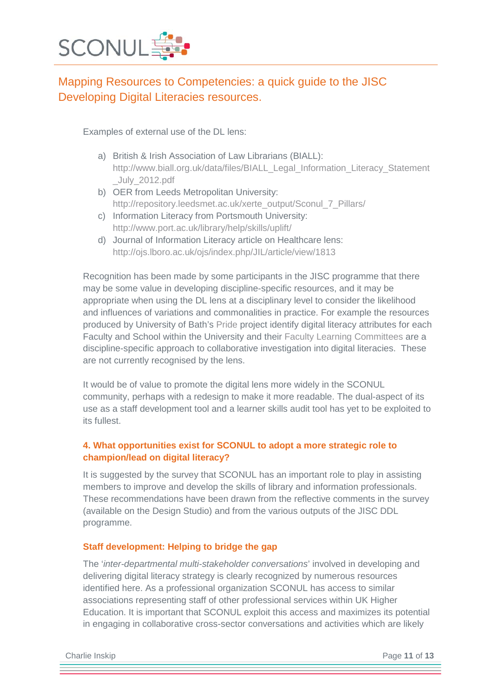

Examples of external use of the DL lens:

- a) British & Irish Association of Law Librarians (BIALL): [http://www.biall.org.uk/data/files/BIALL\\_Legal\\_Information\\_Literacy\\_Statement](http://www.biall.org.uk/data/files/BIALL_Legal_Information_Literacy_Statement_July_2012.pdf) [\\_July\\_2012.pdf](http://www.biall.org.uk/data/files/BIALL_Legal_Information_Literacy_Statement_July_2012.pdf)
- b) OER from Leeds Metropolitan University: [http://repository.leedsmet.ac.uk/xerte\\_output/Sconul\\_7\\_Pillars/](http://repository.leedsmet.ac.uk/xerte_output/Sconul_7_Pillars/)
- c) Information Literacy from Portsmouth University: <http://www.port.ac.uk/library/help/skills/uplift/>
- d) Journal of Information Literacy article on Healthcare lens: <http://ojs.lboro.ac.uk/ojs/index.php/JIL/article/view/1813>

Recognition has been made by some participants in the JISC programme that there may be some value in developing discipline-specific resources, and it may be appropriate when using the DL lens at a disciplinary level to consider the likelihood and influences of variations and commonalities in practice. For example the resources produced by University of Bath's [Pride](http://digilitpride.wordpress.com/digital-literacy-statements/) project identify digital literacy attributes for each Faculty and School within the University and their [Faculty Learning Committees](http://digilitpride.wordpress.com/faculty-learning-communities/) are a discipline-specific approach to collaborative investigation into digital literacies. These are not currently recognised by the lens.

It would be of value to promote the digital lens more widely in the SCONUL community, perhaps with a redesign to make it more readable. The dual-aspect of its use as a staff development tool and a learner skills audit tool has yet to be exploited to its fullest.

### **4. What opportunities exist for SCONUL to adopt a more strategic role to champion/lead on digital literacy?**

It is suggested by the survey that SCONUL has an important role to play in assisting members to improve and develop the skills of library and information professionals. These recommendations have been drawn from the reflective comments in the survey (available on the Design Studio) and from the various outputs of the JISC DDL programme.

### **Staff development: Helping to bridge the gap**

The '*inter-departmental multi-stakeholder conversations*' involved in developing and delivering digital literacy strategy is clearly recognized by numerous resources identified here. As a professional organization SCONUL has access to similar associations representing staff of other professional services within UK Higher Education. It is important that SCONUL exploit this access and maximizes its potential in engaging in collaborative cross-sector conversations and activities which are likely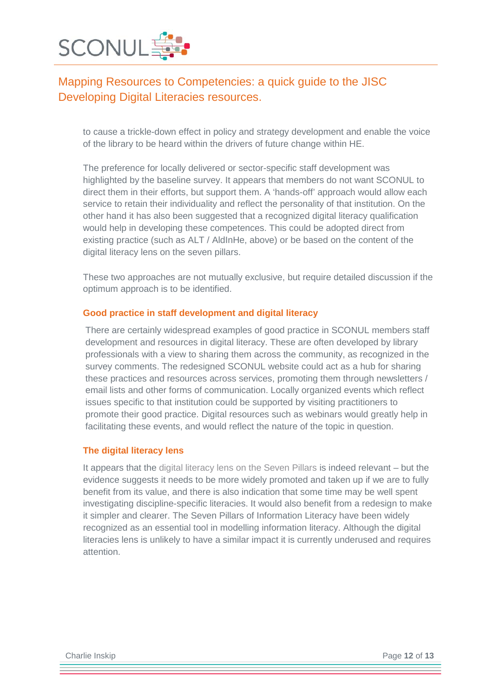

to cause a trickle-down effect in policy and strategy development and enable the voice of the library to be heard within the drivers of future change within HE.

The preference for locally delivered or sector-specific staff development was highlighted by the baseline survey. It appears that members do not want SCONUL to direct them in their efforts, but support them. A 'hands-off' approach would allow each service to retain their individuality and reflect the personality of that institution. On the other hand it has also been suggested that a recognized digital literacy qualification would help in developing these competences. This could be adopted direct from existing practice (such as ALT / AldInHe, above) or be based on the content of the digital literacy lens on the seven pillars.

These two approaches are not mutually exclusive, but require detailed discussion if the optimum approach is to be identified.

#### **Good practice in staff development and digital literacy**

There are certainly widespread examples of good practice in SCONUL members staff development and resources in digital literacy. These are often developed by library professionals with a view to sharing them across the community, as recognized in the survey comments. The redesigned SCONUL website could act as a hub for sharing these practices and resources across services, promoting them through newsletters / email lists and other forms of communication. Locally organized events which reflect issues specific to that institution could be supported by visiting practitioners to promote their good practice. Digital resources such as webinars would greatly help in facilitating these events, and would reflect the nature of the topic in question.

#### **The digital literacy lens**

It appears that the [digital literacy lens on the Seven Pillars](http://www.sconul.ac.uk/publication/digital-literacy-lens) is indeed relevant – but the evidence suggests it needs to be more widely promoted and taken up if we are to fully benefit from its value, and there is also indication that some time may be well spent investigating discipline-specific literacies. It would also benefit from a redesign to make it simpler and clearer. The Seven Pillars of Information Literacy have been widely recognized as an essential tool in modelling information literacy. Although the digital literacies lens is unlikely to have a similar impact it is currently underused and requires attention.